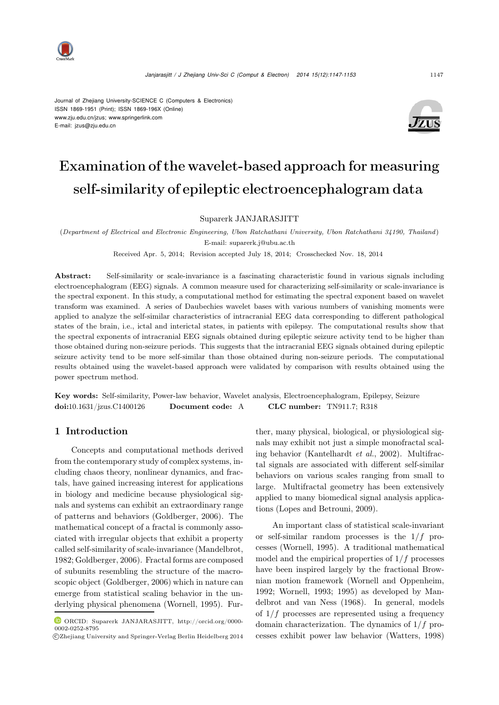

Journal of Zhejiang University-SCIENCE C (Computers & Electronics) ISSN 1869-1951 (Print); ISSN 1869-196X (Online) www.zju.edu.cn/jzus; www.springerlink.com E-mail: jzus@zju.edu.cn



# Examination of the wavelet-based approach for measuring self-similarity of epileptic electroencephalogram data

Suparerk JANJARASJITT

(*Department of Electrical and Electronic Engineering, Ubon Ratchathani University, Ubon Ratchathani 34190, Thailand*) E-mail: suparerk.j@ubu.ac.th

Received Apr. 5, 2014; Revision accepted July 18, 2014; Crosschecked Nov. 18, 2014

Abstract: Self-similarity or scale-invariance is a fascinating characteristic found in various signals including electroencephalogram (EEG) signals. A common measure used for characterizing self-similarity or scale-invariance is the spectral exponent. In this study, a computational method for estimating the spectral exponent based on wavelet transform was examined. A series of Daubechies wavelet bases with various numbers of vanishing moments were applied to analyze the self-similar characteristics of intracranial EEG data corresponding to different pathological states of the brain, i.e., ictal and interictal states, in patients with epilepsy. The computational results show that the spectral exponents of intracranial EEG signals obtained during epileptic seizure activity tend to be higher than those obtained during non-seizure periods. This suggests that the intracranial EEG signals obtained during epileptic seizure activity tend to be more self-similar than those obtained during non-seizure periods. The computational results obtained using the wavelet-based approach were validated by comparison with results obtained using the power spectrum method.

Key words: Self-similarity, Power-law behavior, Wavelet analysis, Electroencephalogram, Epilepsy, Seizure doi:10.1631/jzus.C1400126 Document code: A CLC number: TN911.7; R318

# 1 Introduction

Concepts and computational methods derived from the contemporary study of complex systems, including chaos theory, nonlinear dynamics, and fractals, have gained increasing interest for applications in biology and medicine because physiological signals and systems can exhibit an extraordinary range of patterns and behaviors [\(Goldberger](#page-6-0), [2006](#page-6-0)). The mathematical concept of a fractal is commonly associated with irregular objects that exhibit a property called self-similarity of scale-invariance [\(Mandelbrot,](#page-6-1) [1982](#page-6-1); [Goldberger, 2006](#page-6-0)). Fractal forms are composed of subunits resembling the structure of the macroscopic object [\(Goldberger](#page-6-0), [2006\)](#page-6-0) which in nature can emerge from statistical scaling behavior in the underlying physical phenomena [\(Wornell, 1995](#page-6-2)). Further, many physical, biological, or physiological signals may exhibit not just a simple monofractal scaling behavior [\(Kantelhardt](#page-6-3) *et al.*, [2002](#page-6-3)). Multifractal signals are associated with different self-similar behaviors on various scales ranging from small to large. Multifractal geometry has been extensively applied to many biomedical signal analysis applications [\(Lopes and Betrouni, 2009](#page-6-4)).

An important class of statistical scale-invariant or self-similar random processes is the  $1/f$  processes [\(Wornell](#page-6-2), [1995](#page-6-2)). A traditional mathematical model and the empirical properties of  $1/f$  processes have been inspired largely by the fractional Brownian motion framework (Wornell and Oppenheim, 1992; Wornell, 1993; [1995\)](#page-6-5) [as](#page-6-5) [developed](#page-6-5) [by](#page-6-5) Mandelbrot and van Ness [\(1968\)](#page-6-5). In general, models of  $1/f$  processes are represented using a frequency domain characterization. The dynamics of  $1/f$  processes exhibit power law behavior [\(Watters](#page-6-6), [1998](#page-6-6))

ORCID: Suparerk JANJARASJITT, http://orcid.org/0000- 0002-0252-8795

<sup>-</sup>c Zhejiang University and Springer-Verlag Berlin Heidelberg 2014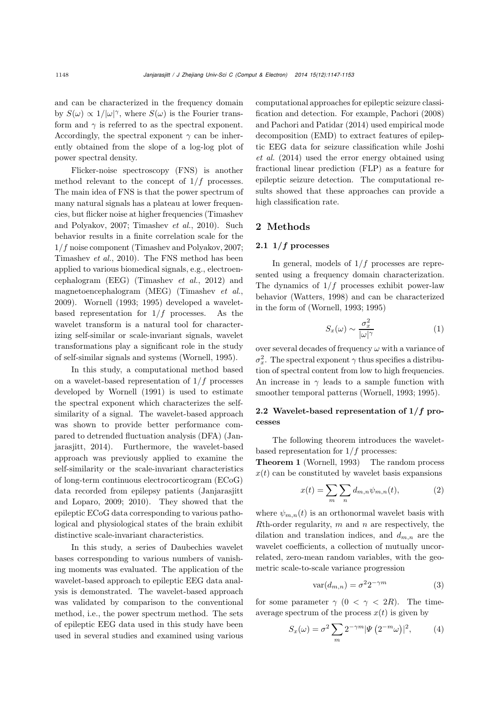and can be characterized in the frequency domain by  $S(\omega) \propto 1/|\omega|^{\gamma}$ , where  $S(\omega)$  is the Fourier trans-<br>form and si is referred to as the spectral support form and  $\gamma$  is referred to as the spectral exponent. Accordingly, the spectral exponent  $\gamma$  can be inherently obtained from the slope of a log-log plot of power spectral density.

Flicker-noise spectroscopy (FNS) is another method relevant to the concept of  $1/f$  processes. The main idea of FNS is that the power spectrum of many natural signals has a plateau at lower frequencies, but flicke[r](#page-6-7) [noise](#page-6-7) [at](#page-6-7) [higher](#page-6-7) [frequencies](#page-6-7) [\(](#page-6-7)Timashev and Polyakov, [2007;](#page-6-7) [Timashev](#page-6-8) *et al.*, [2010](#page-6-8)). Such behavior results in a finite correlation scale for the 1/f noise component [\(Timashev and Polyakov, 2007;](#page-6-7) [Timashev](#page-6-8) *et al.*, [2010\)](#page-6-8). The FNS method has been applied to various biomedical signals, e.g., electroencephalogram (EEG) [\(Timashev](#page-6-9) *et al.*, [2012\)](#page-6-9) and magnetoencephalogram (MEG) [\(Timashev](#page-6-10) *et al.*, [2009](#page-6-10)). Wornell (1993; 1995) developed a waveletbased representation for  $1/f$  processes. As the wavelet transform is a natural tool for characterizing self-similar or scale-invariant signals, wavelet transformations play a significant role in the study of self-similar signals and systems [\(Wornell](#page-6-2), [1995](#page-6-2)).

In this study, a computational method based on a wavelet-based representation of  $1/f$  processes developed by [Wornell](#page-6-11) [\(1991\)](#page-6-11) is used to estimate the spectral exponent which characterizes the selfsimilarity of a signal. The wavelet-based approach was shown to provide better performance compared t[o](#page-6-12) [detrended](#page-6-12) [fluctuation](#page-6-12) [analysis](#page-6-12) [\(DFA\)](#page-6-12) [\(](#page-6-12)Janjarasjitt, [2014](#page-6-12)). Furthermore, the wavelet-based approach was previously applied to examine the self-similarity or the scale-invariant characteristics of long-term continuous electrocorticogram (ECoG) data recorded from epilepsy patients (Janjarasjitt and Loparo, 2009; 2010). They showed that the epileptic ECoG data corresponding to various pathological and physiological states of the brain exhibit distinctive scale-invariant characteristics.

In this study, a series of Daubechies wavelet bases corresponding to various numbers of vanishing moments was evaluated. The application of the wavelet-based approach to epileptic EEG data analysis is demonstrated. The wavelet-based approach was validated by comparison to the conventional method, i.e., the power spectrum method. The sets of epileptic EEG data used in this study have been used in several studies and examined using various

computational approaches for epileptic seizure classification and detection. For example, [Pachori](#page-6-13) [\(2008](#page-6-13)) and [Pachori and Patidar](#page-6-14) [\(2014](#page-6-14)) used empirical mode decomposition (EMD) to extract features of epileptic E[EG](#page-6-15) [data](#page-6-15) [for](#page-6-15) [seizure](#page-6-15) [classification](#page-6-15) [while](#page-6-15) Joshi *et al.* [\(2014\)](#page-6-15) used the error energy obtained using fractional linear prediction (FLP) as a feature for epileptic seizure detection. The computational results showed that these approaches can provide a high classification rate.

# 2 Methods

#### 2.1  $1/f$  processes

In general, models of  $1/f$  processes are represented using a frequency domain characterization. The dynamics of  $1/f$  processes exhibit power-law behavior [\(Watters, 1998\)](#page-6-6) and can be characterized in the form of (Wornell, 1993; 1995)

$$
S_x(\omega) \sim \frac{\sigma_x^2}{|\omega|^\gamma} \tag{1}
$$

over several decades of frequency  $\omega$  with a variance of  $\sigma_x^2$ . The spectral exponent  $\gamma$  thus specifies a distribution of spectral content from low to high frequencies. An increase in  $\gamma$  leads to a sample function with smoother temporal patterns (Wornell, 1993; 1995).

# 2.2 Wavelet-based representation of **1***/f* processes

The following theorem introduces the waveletbased representation for  $1/f$  processes:<br>**Theorem 1** (Wornell, 1993) The random process

Theorem 1 [\(Wornell, 1993\)](#page-6-16)  $x(t)$  can be constituted by wavelet basis expansions

$$
x(t) = \sum_{m} \sum_{n} d_{m,n} \psi_{m,n}(t), \qquad (2)
$$

where  $\psi_{m,n}(t)$  is an orthonormal wavelet basis with  $R$ th-order regularity, m and n are respectively, the dilation and translation indices, and  $d_{m,n}$  are the wavelet coefficients, a collection of mutually uncorrelated, zero-mean random variables, with the geometric scale-to-scale variance progression

$$
var(d_{m,n}) = \sigma^2 2^{-\gamma m} \tag{3}
$$

for some parameter  $\gamma$  (0 <  $\gamma$  < 2R). The timeaverage spectrum of the process  $x(t)$  is given by

$$
S_x(\omega) = \sigma^2 \sum_m 2^{-\gamma m} |\Psi(2^{-m}\omega)|^2, \qquad (4)
$$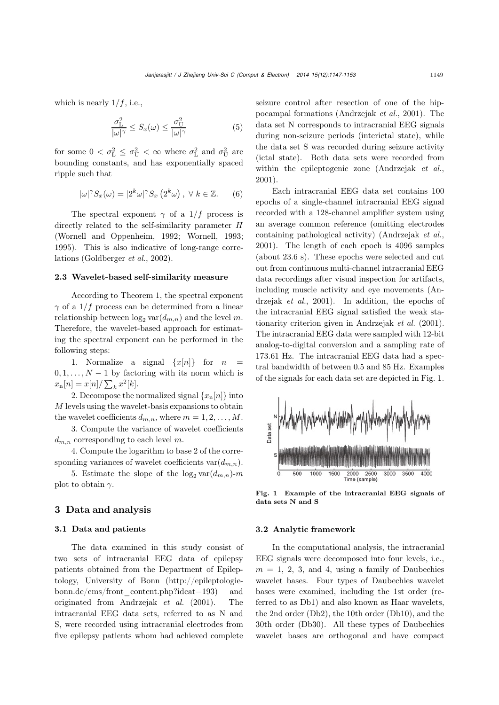which is nearly  $1/f$ , i.e.,

$$
\frac{\sigma_{\rm L}^2}{|\omega|^\gamma} \le S_x(\omega) \le \frac{\sigma_{\rm U}^2}{|\omega|^\gamma} \tag{5}
$$

for some  $0 < \sigma_L^2 \leq \sigma_U^2 < \infty$  where  $\sigma_L^2$  and  $\sigma_U^2$  are<br>hounding constants, and has expandibility appear bounding constants, and has exponentially spaced ripple such that

$$
|\omega|^{\gamma} S_x(\omega) = |2^k \omega|^{\gamma} S_x (2^k \omega), \ \forall \ k \in \mathbb{Z}.
$$
 (6)

The spectral exponent  $\gamma$  of a 1/f process is directly related to the self-similarity parameter H (Wornell and Oppenheim, 1992; Wornell, 1993; 1995). This is also indicative of long-range correlations [\(Goldberger](#page-6-17) *et al.*, [2002\)](#page-6-17).

#### 2.3 Wavelet-based self-similarity measure

According to Theorem 1, the spectral exponent  $\gamma$  of a 1/f process can be determined from a linear relationship between  $\log_2 \text{var}(d_{m,n})$  and the level m. Therefore, the wavelet-based approach for estimating the spectral exponent can be performed in the following steps:

1. Normalize a signal  $\{x[n]\}$  for *n*  $0, 1, \ldots, N-1$  by factoring with its norm which is  $x_n[n] = x[n]/\sum_k x^2[k].$ 

2. Decompose the normalized signal  $\{x_n[n]\}$  into M levels using the wavelet-basis expansions to obtain the wavelet coefficients  $d_{m,n}$ , where  $m = 1, 2, \ldots, M$ .

3. Compute the variance of wavelet coefficients  $d_{m,n}$  corresponding to each level m.

4. Compute the logarithm to base 2 of the corresponding variances of wavelet coefficients var $(d_{m,n})$ .

5. Estimate the slope of the  $\log_2 \text{var}(d_{m,n})-m$ plot to obtain  $\gamma$ .

## 3 Data and analysis

#### 3.1 Data and patients

The data examined in this study consist of two sets of intracranial EEG data of epilepsy patients obtained from the Department of Epileptology, University of Bonn (http://epileptologiebonn.de/cms/front\_content.php?idcat=193) and originated from [Andrzejak](#page-6-18) *et al.* [\(2001\)](#page-6-18). The intracranial EEG data sets, referred to as N and S, were recorded using intracranial electrodes from five epilepsy patients whom had achieved complete

seizure control after resection of one of the hippocampal formations [\(Andrzejak](#page-6-18) *et al.*, [2001\)](#page-6-18). The data set N corresponds to intracranial EEG signals during non-seizure periods (interictal state), while the data set S was recorded during seizure activity (ictal state). Both data sets were recorded from within the epileptogenic zone [\(Andrzejak](#page-6-18) *et al.*, [2001](#page-6-18)).

Each intracranial EEG data set contains 100 epochs of a single-channel intracranial EEG signal recorded with a 128-channel amplifier system using an average common reference (omitting electrodes containing pathological activity) [\(Andrzejak](#page-6-18) *et al.*, [2001](#page-6-18)). The length of each epoch is 4096 samples (about 23.6 s). These epochs were selected and cut out from continuous multi-channel intracranial EEG data recordings after visual inspection for artifacts, including mu[scle](#page-6-18) [activity](#page-6-18) [and](#page-6-18) [eye](#page-6-18) [movements](#page-6-18) [\(](#page-6-18)Andrzejak *et al.*, [2001](#page-6-18)). In addition, the epochs of the intracranial EEG signal satisfied the weak stationarity criterion given in [Andrzejak](#page-6-18) *et al.* [\(2001\)](#page-6-18). The intracranial EEG data were sampled with 12-bit analog-to-digital conversion and a sampling rate of 173.61 Hz. The intracranial EEG data had a spectral bandwidth of between 0.5 and 85 Hz. Examples of the signals for each data set are depicted in Fig. [1.](#page-2-0)



<span id="page-2-0"></span>Fig. 1 Example of the intracranial EEG signals of data sets N and S

#### 3.2 Analytic framework

In the computational analysis, the intracranial EEG signals were decomposed into four levels, i.e.,  $m = 1, 2, 3, \text{ and } 4, \text{ using a family of Daubechies}$ wavelet bases. Four types of Daubechies wavelet bases were examined, including the 1st order (referred to as Db1) and also known as Haar wavelets, the 2nd order (Db2), the 10th order (Db10), and the 30th order (Db30). All these types of Daubechies wavelet bases are orthogonal and have compact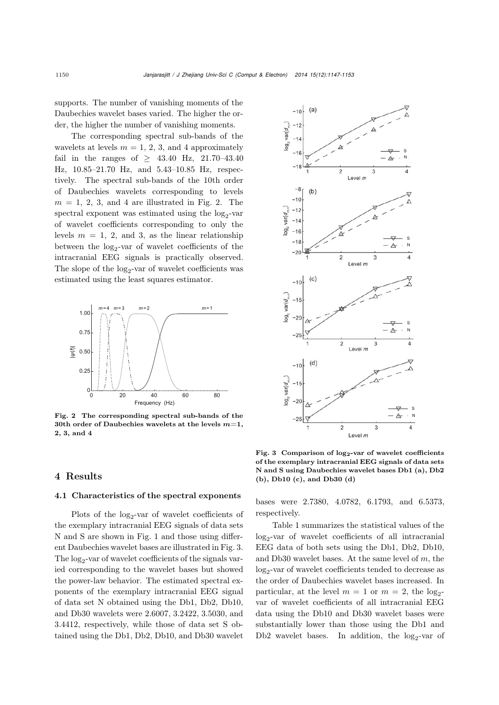supports. The number of vanishing moments of the Daubechies wavelet bases varied. The higher the order, the higher the number of vanishing moments.

The corresponding spectral sub-bands of the wavelets at levels  $m = 1, 2, 3$ , and 4 approximately fail in the ranges of  $\geq 43.40$  Hz, 21.70-43.40 Hz, 10.85–21.70 Hz, and 5.43–10.85 Hz, respectively. The spectral sub-bands of the 10th order of Daubechies wavelets corresponding to levels  $m = 1, 2, 3,$  and 4 are illustrated in Fig. [2.](#page-3-0) The spectral exponent was estimated using the  $log_2$ -var of wavelet coefficients corresponding to only the levels  $m = 1, 2,$  and 3, as the linear relationship between the  $log_2$ -var of wavelet coefficients of the intracranial EEG signals is practically observed. The slope of the  $log_2$ -var of wavelet coefficients was estimated using the least squares estimator.



<span id="page-3-0"></span>Fig. 2 The corresponding spectral sub-bands of the 30th order of Daubechies wavelets at the levels *m*=1, 2, 3, and 4

### 4 Results

#### 4.1 Characteristics of the spectral exponents

Plots of the  $log_2$ -var of wavelet coefficients of the exemplary intracranial EEG signals of data sets N and S are shown in Fig. [1](#page-2-0) and those using different Daubechies wavelet bases are illustrated in Fig. [3.](#page-3-1) The  $log_2$ -var of wavelet coefficients of the signals varied corresponding to the wavelet bases but showed the power-law behavior. The estimated spectral exponents of the exemplary intracranial EEG signal of data set N obtained using the Db1, Db2, Db10, and Db30 wavelets were 2.6007, 3.2422, 3.5030, and 3.4412, respectively, while those of data set S obtained using the Db1, Db2, Db10, and Db30 wavelet



<span id="page-3-1"></span>Fig. 3 Comparison of **log2**-**var** of wavelet coefficients of the exemplary intracranial EEG signals of data sets N and S using Daubechies wavelet bases Db1 (a), Db2 (b), Db10 (c), and Db30 (d)

bases were 2.7380, 4.0782, 6.1793, and 6.5373, respectively.

Table [1](#page-4-0) summarizes the statistical values of the  $log_2$ -var of wavelet coefficients of all intracranial EEG data of both sets using the Db1, Db2, Db10, and Db30 wavelet bases. At the same level of  $m$ , the  $log<sub>2</sub>$ -var of wavelet coefficients tended to decrease as the order of Daubechies wavelet bases increased. In particular, at the level  $m = 1$  or  $m = 2$ , the log<sub>2</sub>var of wavelet coefficients of all intracranial EEG data using the Db10 and Db30 wavelet bases were substantially lower than those using the Db1 and Db2 wavelet bases. In addition, the  $log_2$ -var of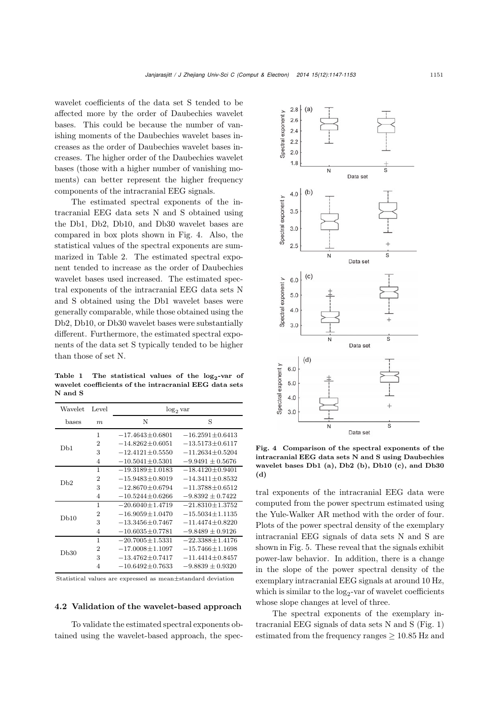wavelet coefficients of the data set S tended to be affected more by the order of Daubechies wavelet bases. This could be because the number of vanishing moments of the Daubechies wavelet bases increases as the order of Daubechies wavelet bases increases. The higher order of the Daubechies wavelet bases (those with a higher number of vanishing moments) can better represent the higher frequency components of the intracranial EEG signals.

The estimated spectral exponents of the intracranial EEG data sets N and S obtained using the Db1, Db2, Db10, and Db30 wavelet bases are compared in box plots shown in Fig. [4.](#page-4-1) Also, the statistical values of the spectral exponents are summarized in Table [2.](#page-5-0) The estimated spectral exponent tended to increase as the order of Daubechies wavelet bases used increased. The estimated spectral exponents of the intracranial EEG data sets N and S obtained using the Db1 wavelet bases were generally comparable, while those obtained using the Db2, Db10, or Db30 wavelet bases were substantially different. Furthermore, the estimated spectral exponents of the data set S typically tended to be higher than those of set N.

<span id="page-4-0"></span>Table 1 The statistical values of the **log2**-**var** of wavelet coefficients of the intracranial EEG data sets N and S

| Wavelet         | Level          | $log_2$ var           |                       |
|-----------------|----------------|-----------------------|-----------------------|
| hases           | m              | Ν                     | S                     |
| D <sub>b1</sub> | 1              | $-17.4643 \pm 0.6801$ | $-16.2591 \pm 0.6413$ |
|                 | $\overline{2}$ | $-14.8262 \pm 0.6051$ | $-13.5173 + 0.6117$   |
|                 | 3              | $-12.4121 + 0.5550$   | $-11.2634 + 0.5204$   |
|                 | $\overline{4}$ | $-10.5041 \pm 0.5301$ | $-9.9491 \pm 0.5676$  |
| Dh2             | 1              | $-19.3189 \pm 1.0183$ | $-18.4120 \pm 0.9401$ |
|                 | $\mathfrak{D}$ | $-15.9483 + 0.8019$   | $-14.3411+0.8532$     |
|                 | 3              | $-12.8670 + 0.6794$   | $-11.3788 + 0.6512$   |
|                 | $\overline{4}$ | $-10.5244 \pm 0.6266$ | $-9.8392 \pm 0.7422$  |
| Db10            | 1              | $-20.6040 + 1.4719$   | $-21.8310 \pm 1.3752$ |
|                 | $\mathfrak{D}$ | $-16.9059 + 1.0470$   | $-15.5034 + 1.1135$   |
|                 | 3              | $-13.3456 + 0.7467$   | $-11.4474 + 0.8220$   |
|                 | $\overline{4}$ | $-10.6035 + 0.7781$   | $-9.8489 + 0.9126$    |
| Db30            | 1              | $-20.7005 \pm 1.5331$ | $-22.3388 + 1.4176$   |
|                 | $\mathfrak{D}$ | $-17.0008 \pm 1.1097$ | $-15.7466 + 1.1698$   |
|                 | 3              | $-13.4762 + 0.7417$   | $-11.4414 \pm 0.8457$ |
|                 | $\overline{4}$ | $-10.6492 + 0.7633$   | $-9.8839 + 0.9320$    |

Statistical values are expressed as mean*±*standard deviation

#### 4.2 Validation of the wavelet-based approach

To validate the estimated spectral exponents obtained using the wavelet-based approach, the spec-



<span id="page-4-1"></span>Fig. 4 Comparison of the spectral exponents of the intracranial EEG data sets N and S using Daubechies wavelet bases Db1 (a), Db2 (b), Db10 (c), and Db30 (d)

tral exponents of the intracranial EEG data were computed from the power spectrum estimated using the Yule-Walker AR method with the order of four. Plots of the power spectral density of the exemplary intracranial EEG signals of data sets N and S are shown in Fig. [5.](#page-5-1) These reveal that the signals exhibit power-law behavior. In addition, there is a change in the slope of the power spectral density of the exemplary intracranial EEG signals at around 10 Hz, which is similar to the  $log_2$ -var of wavelet coefficients whose slope changes at level of three.

The spectral exponents of the exemplary intracranial EEG signals of data sets N and S (Fig. [1\)](#page-2-0) estimated from the frequency ranges  $\geq 10.85$  Hz and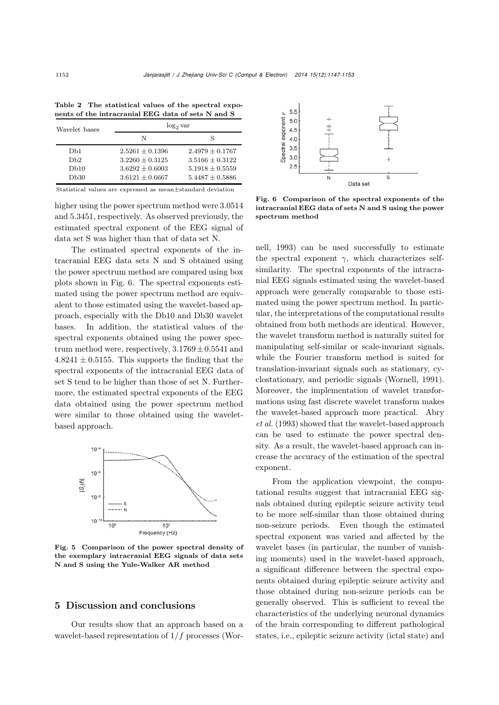| Wavelet bases   | $\log_2 \text{var}$ |                     |  |
|-----------------|---------------------|---------------------|--|
|                 | N                   | S                   |  |
| D <sub>b1</sub> | $2.5261 + 0.1396$   | $2.4979 + 0.1767$   |  |
| Dh2             | $3.2260 \pm 0.3125$ | $3.5166 + 0.3122$   |  |
| Db10            | $3.6292 \pm 0.6003$ | $5.1918 \pm 0.5559$ |  |
| Db30            | $3.6121 \pm 0.6667$ | $5.4487 \pm 0.5886$ |  |

<span id="page-5-0"></span>Table 2 The statistical values of the spectral exponents of the intracranial EEG data of sets N and S

Statistical values are expressed as mean*±*standard deviation

higher using the power spectrum method were 3.0514 and 5.3451, respectively. As observed previously, the estimated spectral exponent of the EEG signal of data set S was higher than that of data set N.

The estimated spectral exponents of the intracranial EEG data sets N and S obtained using the power spectrum method are compared using box plots shown in Fig. [6.](#page-5-2) The spectral exponents estimated using the power spectrum method are equivalent to those estimated using the wavelet-based approach, especially with the Db10 and Db30 wavelet bases. In addition, the statistical values of the spectral exponents obtained using the power spectrum method were, respectively,  $3.1769 \pm 0.5541$  and  $4.8241 \pm 0.5155$ . This supports the finding that the spectral exponents of the intracranial EEG data of set S tend to be higher than those of set N. Furthermore, the estimated spectral exponents of the EEG data obtained using the power spectrum method were similar to those obtained using the waveletbased approach.



<span id="page-5-1"></span>Fig. 5 Comparison of the power spectral density of the exemplary intracranial EEG signals of data sets N and S using the Yule-Walker AR method

# 5 Discussion and conclusions

Our results show that an approach based on a wavelet-based representation of  $1/f$  processes (Wor-



<span id="page-5-2"></span>Fig. 6 Comparison of the spectral exponents of the intr[acra](#page-6-16)nial EEG data of sets N and S using the power spectrum method

nell, [1993\)](#page-6-16) can be used successfully to estimate the spectral exponent  $\gamma$ , which characterizes selfsimilarity. The spectral exponents of the intracranial EEG signals estimated using the wavelet-based approach were generally comparable to those estimated using the power spectrum method. In particular, the interpretations of the computational results obtained from both methods are identical. However, the wavelet transform method is naturally suited for manipulating self-similar or scale-invariant signals, while the Fourier transform method is suited for translation-invariant signals such as stationary, cyclostationary, and periodic signals [\(Wornell, 1991\)](#page-6-11). Moreover, the implementation of wavelet transformations using fast discrete wavelet transform makes the [wavelet-based](#page-6-19) [approach](#page-6-19) [more](#page-6-19) [practical.](#page-6-19) Abry *et al.* [\(1993](#page-6-19)) showed that the wavelet-based approach can be used to estimate the power spectral density. As a result, the wavelet-based approach can increase the accuracy of the estimation of the spectral exponent.

From the application viewpoint, the computational results suggest that intracranial EEG signals obtained during epileptic seizure activity tend to be more self-similar than those obtained during non-seizure periods. Even though the estimated spectral exponent was varied and affected by the wavelet bases (in particular, the number of vanishing moments) used in the wavelet-based approach, a significant difference between the spectral exponents obtained during epileptic seizure activity and those obtained during non-seizure periods can be generally observed. This is sufficient to reveal the characteristics of the underlying neuronal dynamics of the brain corresponding to different pathological states, i.e., epileptic seizure activity (ictal state) and